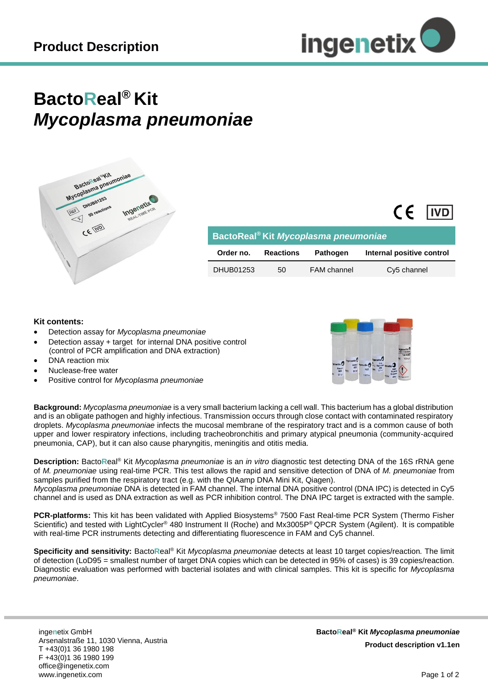

## **BactoReal® Kit** *Mycoplasma pneumoniae*



| BactoReal <sup>®</sup> Kit Mycoplasma pneumoniae |                  |                    |                           |
|--------------------------------------------------|------------------|--------------------|---------------------------|
| Order no.                                        | <b>Reactions</b> | <b>Pathogen</b>    | Internal positive control |
| DHUB01253                                        | 50               | <b>FAM</b> channel | Cy5 channel               |

## **Kit contents:**

- Detection assay for *Mycoplasma pneumoniae*
- Detection assay + target for internal DNA positive control (control of PCR amplification and DNA extraction)
- DNA reaction mix
- Nuclease-free water
- Positive control for *Mycoplasma pneumoniae*



 $CF$   $IVD$ 

**Background:** *Mycoplasma pneumoniae* is a very small bacterium lacking a cell wall. This bacterium has a global distribution and is an obligate pathogen and highly infectious. Transmission occurs through close contact with contaminated respiratory droplets. *Mycoplasma pneumoniae* infects the mucosal membrane of the respiratory tract and is a common cause of both upper and lower respiratory infections, including tracheobronchitis and primary atypical pneumonia (community-acquired pneumonia, CAP), but it can also cause pharyngitis, meningitis and otitis media.

**Description:** Bacto**R**eal® Kit *Mycoplasma pneumoniae* is an *in vitro* diagnostic test detecting DNA of the 16S rRNA gene of *M. pneumoniae* using real-time PCR. This test allows the rapid and sensitive detection of DNA of *M. pneumoniae* from samples purified from the respiratory tract (e.g. with the QIAamp DNA Mini Kit, Qiagen). *Mycoplasma pneumoniae* DNA is detected in FAM channel. The internal DNA positive control (DNA IPC) is detected in Cy5 channel and is used as DNA extraction as well as PCR inhibition control. The DNA IPC target is extracted with the sample.

**PCR-platforms:** This kit has been validated with Applied Biosystems® 7500 Fast Real-time PCR System (Thermo Fisher Scientific) and tested with LightCycler® 480 Instrument II (Roche) and Mx3005P® QPCR System (Agilent). It is compatible with real-time PCR instruments detecting and differentiating fluorescence in FAM and Cy5 channel.

**Specificity and sensitivity:** Bacto**R**eal® Kit *Mycoplasma pneumoniae* detects at least 10 target copies/reaction*.* The limit of detection (LoD95 = smallest number of target DNA copies which can be detected in 95% of cases) is 39 copies/reaction. Diagnostic evaluation was performed with bacterial isolates and with clinical samples. This kit is specific for *Mycoplasma pneumoniae*.

inge**n**etix GmbH Arsenalstraße 11, 1030 Vienna, Austria T +43(0)1 36 1980 198 F +43(0)1 36 1980 199 office@ingenetix.com www.ingenetix.com

**BactoReal® Kit** *Mycoplasma pneumoniae* **Product description v1.1en**